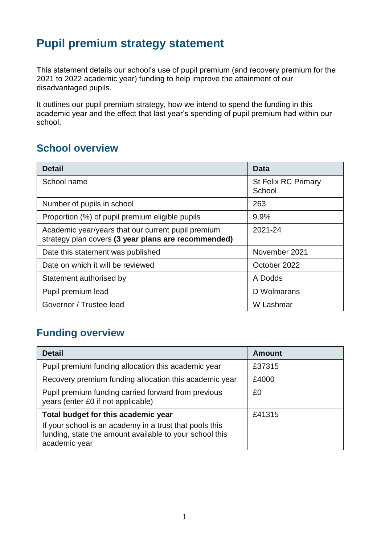## **Pupil premium strategy statement**

This statement details our school's use of pupil premium (and recovery premium for the 2021 to 2022 academic year) funding to help improve the attainment of our disadvantaged pupils.

It outlines our pupil premium strategy, how we intend to spend the funding in this academic year and the effect that last year's spending of pupil premium had within our school.

### **School overview**

| <b>Detail</b>                                                                                             | Data                                 |
|-----------------------------------------------------------------------------------------------------------|--------------------------------------|
| School name                                                                                               | <b>St Felix RC Primary</b><br>School |
| Number of pupils in school                                                                                | 263                                  |
| Proportion (%) of pupil premium eligible pupils                                                           | 9.9%                                 |
| Academic year/years that our current pupil premium<br>strategy plan covers (3 year plans are recommended) | 2021-24                              |
| Date this statement was published                                                                         | November 2021                        |
| Date on which it will be reviewed                                                                         | October 2022                         |
| Statement authorised by                                                                                   | A Dodds                              |
| Pupil premium lead                                                                                        | D Wolmarans                          |
| Governor / Trustee lead                                                                                   | W Lashmar                            |

### **Funding overview**

| <b>Detail</b>                                                                                                                                                              | Amount |
|----------------------------------------------------------------------------------------------------------------------------------------------------------------------------|--------|
| Pupil premium funding allocation this academic year                                                                                                                        | £37315 |
| Recovery premium funding allocation this academic year                                                                                                                     | £4000  |
| Pupil premium funding carried forward from previous<br>years (enter £0 if not applicable)                                                                                  | £0     |
| Total budget for this academic year<br>If your school is an academy in a trust that pools this<br>funding, state the amount available to your school this<br>academic year | £41315 |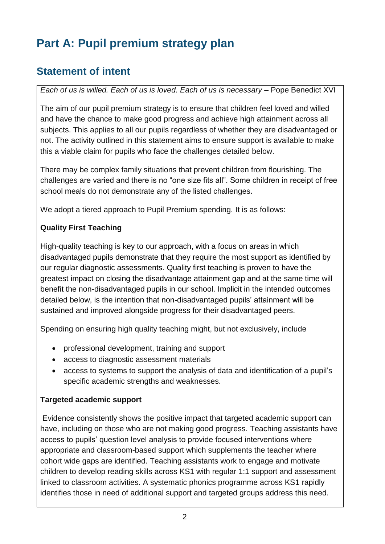# **Part A: Pupil premium strategy plan**

## **Statement of intent**

*Each of us is willed. Each of us is loved. Each of us is necessary* – Pope Benedict XVI

The aim of our pupil premium strategy is to ensure that children feel loved and willed and have the chance to make good progress and achieve high attainment across all subjects. This applies to all our pupils regardless of whether they are disadvantaged or not. The activity outlined in this statement aims to ensure support is available to make this a viable claim for pupils who face the challenges detailed below.

There may be complex family situations that prevent children from flourishing. The challenges are varied and there is no "one size fits all". Some children in receipt of free school meals do not demonstrate any of the listed challenges.

We adopt a tiered approach to Pupil Premium spending. It is as follows:

#### **Quality First Teaching**

High-quality teaching is key to our approach, with a focus on areas in which disadvantaged pupils demonstrate that they require the most support as identified by our regular diagnostic assessments. Quality first teaching is proven to have the greatest impact on closing the disadvantage attainment gap and at the same time will benefit the non-disadvantaged pupils in our school. Implicit in the intended outcomes detailed below, is the intention that non-disadvantaged pupils' attainment will be sustained and improved alongside progress for their disadvantaged peers.

Spending on ensuring high quality teaching might, but not exclusively, include

- professional development, training and support
- access to diagnostic assessment materials
- access to systems to support the analysis of data and identification of a pupil's specific academic strengths and weaknesses.

#### **Targeted academic support**

Evidence consistently shows the positive impact that targeted academic support can have, including on those who are not making good progress. Teaching assistants have access to pupils' question level analysis to provide focused interventions where appropriate and classroom-based support which supplements the teacher where cohort wide gaps are identified. Teaching assistants work to engage and motivate children to develop reading skills across KS1 with regular 1:1 support and assessment linked to classroom activities. A systematic phonics programme across KS1 rapidly identifies those in need of additional support and targeted groups address this need.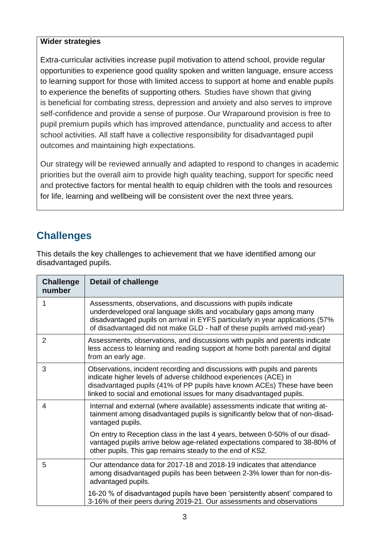#### **Wider strategies**

Extra-curricular activities increase pupil motivation to attend school, provide regular opportunities to experience good quality spoken and written language, ensure access to learning support for those with limited access to support at home and enable pupils to experience the benefits of supporting others. Studies have shown that giving is beneficial for combating stress, depression and anxiety and also serves to improve self-confidence and provide a sense of purpose. Our Wraparound provision is free to pupil premium pupils which has improved attendance, punctuality and access to after school activities. All staff have a collective responsibility for disadvantaged pupil outcomes and maintaining high expectations.

Our strategy will be reviewed annually and adapted to respond to changes in academic priorities but the overall aim to provide high quality teaching, support for specific need and protective factors for mental health to equip children with the tools and resources for life, learning and wellbeing will be consistent over the next three years.

## **Challenges**

This details the key challenges to achievement that we have identified among our disadvantaged pupils.

| <b>Challenge</b><br>number | <b>Detail of challenge</b>                                                                                                                                                                                                                                                                            |
|----------------------------|-------------------------------------------------------------------------------------------------------------------------------------------------------------------------------------------------------------------------------------------------------------------------------------------------------|
| 1                          | Assessments, observations, and discussions with pupils indicate<br>underdeveloped oral language skills and vocabulary gaps among many<br>disadvantaged pupils on arrival in EYFS particularly in year applications (57%<br>of disadvantaged did not make GLD - half of these pupils arrived mid-year) |
| $\overline{2}$             | Assessments, observations, and discussions with pupils and parents indicate<br>less access to learning and reading support at home both parental and digital<br>from an early age.                                                                                                                    |
| 3                          | Observations, incident recording and discussions with pupils and parents<br>indicate higher levels of adverse childhood experiences (ACE) in<br>disadvantaged pupils (41% of PP pupils have known ACEs) These have been<br>linked to social and emotional issues for many disadvantaged pupils.       |
| 4                          | Internal and external (where available) assessments indicate that writing at-<br>tainment among disadvantaged pupils is significantly below that of non-disad-<br>vantaged pupils.                                                                                                                    |
|                            | On entry to Reception class in the last 4 years, between 0-50% of our disad-<br>vantaged pupils arrive below age-related expectations compared to 38-80% of<br>other pupils. This gap remains steady to the end of KS2.                                                                               |
| 5                          | Our attendance data for 2017-18 and 2018-19 indicates that attendance<br>among disadvantaged pupils has been between 2-3% lower than for non-dis-<br>advantaged pupils.                                                                                                                               |
|                            | 16-20 % of disadvantaged pupils have been 'persistently absent' compared to<br>3-16% of their peers during 2019-21. Our assessments and observations                                                                                                                                                  |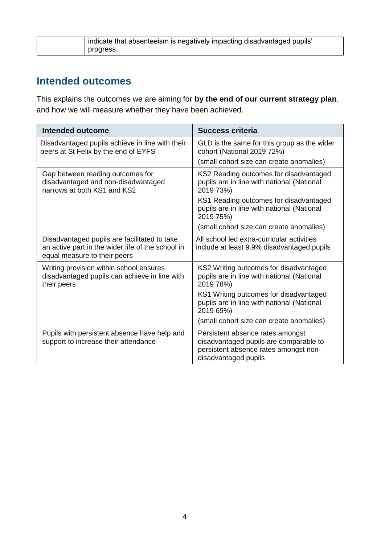| , indicate that absenteeism is negatively impacting disadvantaged pupils' |
|---------------------------------------------------------------------------|
| progress.                                                                 |

### **Intended outcomes**

This explains the outcomes we are aiming for **by the end of our current strategy plan**, and how we will measure whether they have been achieved.

| <b>Intended outcome</b>                                                                                                           | Success criteria                                                                                                                                                                                       |
|-----------------------------------------------------------------------------------------------------------------------------------|--------------------------------------------------------------------------------------------------------------------------------------------------------------------------------------------------------|
| Disadvantaged pupils achieve in line with their<br>peers at St Felix by the end of EYFS                                           | GLD is the same for this group as the wider<br>cohort (National 2019 72%)<br>(small cohort size can create anomalies)                                                                                  |
| Gap between reading outcomes for<br>disadvantaged and non-disadvantaged<br>narrows at both KS1 and KS2                            | KS2 Reading outcomes for disadvantaged<br>pupils are in line with national (National<br>2019 73%)<br>KS1 Reading outcomes for disadvantaged<br>pupils are in line with national (National              |
|                                                                                                                                   | 2019 75%)<br>(small cohort size can create anomalies)                                                                                                                                                  |
| Disadvantaged pupils are facilitated to take<br>an active part in the wider life of the school in<br>equal measure to their peers | All school led extra-curricular activities<br>include at least 9.9% disadvantaged pupils                                                                                                               |
| Writing provision within school ensures<br>disadvantaged pupils can achieve in line with<br>their peers                           | KS2 Writing outcomes for disadvantaged<br>pupils are in line with national (National<br>2019 78%)<br>KS1 Writing outcomes for disadvantaged<br>pupils are in line with national (National<br>2019 69%) |
|                                                                                                                                   | (small cohort size can create anomalies)                                                                                                                                                               |
| Pupils with persistent absence have help and<br>support to increase their attendance                                              | Persistent absence rates amongst<br>disadvantaged pupils are comparable to<br>persistent absence rates amongst non-<br>disadvantaged pupils                                                            |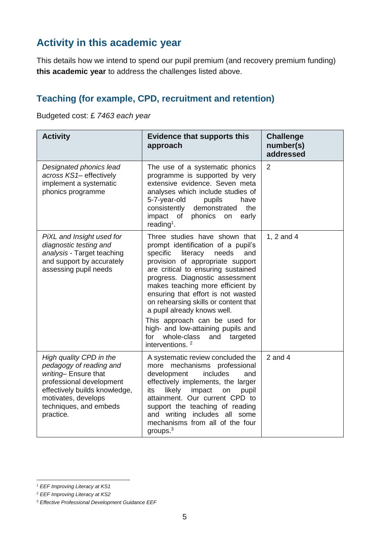## **Activity in this academic year**

This details how we intend to spend our pupil premium (and recovery premium funding) **this academic year** to address the challenges listed above.

#### **Teaching (for example, CPD, recruitment and retention)**

Budgeted cost: £ *7463 each year*

| <b>Activity</b>                                                                                                                                                                                      | <b>Evidence that supports this</b><br>approach                                                                                                                                                                                                                                                                                                                                                                                                                                                                           | <b>Challenge</b><br>number(s)<br>addressed |
|------------------------------------------------------------------------------------------------------------------------------------------------------------------------------------------------------|--------------------------------------------------------------------------------------------------------------------------------------------------------------------------------------------------------------------------------------------------------------------------------------------------------------------------------------------------------------------------------------------------------------------------------------------------------------------------------------------------------------------------|--------------------------------------------|
| Designated phonics lead<br>across KS1- effectively<br>implement a systematic<br>phonics programme                                                                                                    | The use of a systematic phonics<br>programme is supported by very<br>extensive evidence. Seven meta<br>analyses which include studies of<br>5-7-year-old<br>pupils<br>have<br>the<br>consistently<br>demonstrated<br>impact of<br>phonics<br>on<br>early<br>reading <sup>1</sup> .                                                                                                                                                                                                                                       | 2                                          |
| PiXL and Insight used for<br>diagnostic testing and<br>analysis - Target teaching<br>and support by accurately<br>assessing pupil needs                                                              | Three studies have shown that<br>prompt identification of a pupil's<br>literacy<br>specific<br>needs<br>and<br>provision of appropriate support<br>are critical to ensuring sustained<br>progress. Diagnostic assessment<br>makes teaching more efficient by<br>ensuring that effort is not wasted<br>on rehearsing skills or content that<br>a pupil already knows well.<br>This approach can be used for<br>high- and low-attaining pupils and<br>whole-class<br>for<br>targeted<br>and<br>interventions. <sup>2</sup> | 1, 2 and 4                                 |
| High quality CPD in the<br>pedagogy of reading and<br>writing-Ensure that<br>professional development<br>effectively builds knowledge,<br>motivates, develops<br>techniques, and embeds<br>practice. | A systematic review concluded the<br>more mechanisms professional<br>development<br><i>includes</i><br>and<br>effectively implements, the larger<br>likely<br>impact<br>its<br>on<br>pupil<br>attainment. Our current CPD to<br>support the teaching of reading<br>and writing includes all some<br>mechanisms from all of the four<br>groups. $3$                                                                                                                                                                       | $2$ and $4$                                |

<sup>-</sup><sup>1</sup> *EEF Improving Literacy at KS1*

<sup>2</sup> *EEF Improving Literacy at KS2*

<sup>3</sup> *Effective Professional Development Guidance EEF*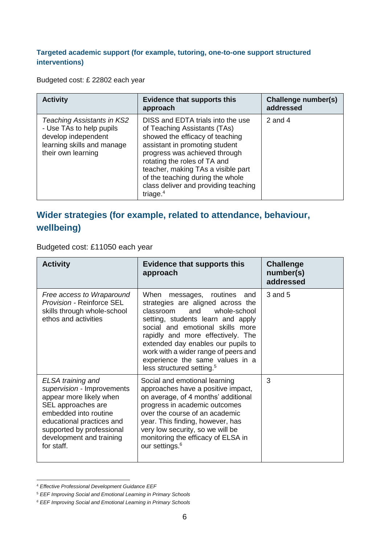#### **Targeted academic support (for example, tutoring, one-to-one support structured interventions)**

Budgeted cost: £ 22802 each year

| <b>Activity</b>                                                                                                                   | <b>Evidence that supports this</b><br>approach                                                                                                                                                                                                                                                                                           | Challenge number(s)<br>addressed |
|-----------------------------------------------------------------------------------------------------------------------------------|------------------------------------------------------------------------------------------------------------------------------------------------------------------------------------------------------------------------------------------------------------------------------------------------------------------------------------------|----------------------------------|
| Teaching Assistants in KS2<br>- Use TAs to help pupils<br>develop independent<br>learning skills and manage<br>their own learning | DISS and EDTA trials into the use<br>of Teaching Assistants (TAs)<br>showed the efficacy of teaching<br>assistant in promoting student<br>progress was achieved through<br>rotating the roles of TA and<br>teacher, making TAs a visible part<br>of the teaching during the whole<br>class deliver and providing teaching<br>triage. $4$ | 2 and 4                          |

#### **Wider strategies (for example, related to attendance, behaviour, wellbeing)**

Budgeted cost: £11050 each year

| <b>Activity</b>                                                                                                                                                                                                               | <b>Evidence that supports this</b><br>approach                                                                                                                                                                                                                                                                                                                                     | <b>Challenge</b><br>number(s)<br>addressed |
|-------------------------------------------------------------------------------------------------------------------------------------------------------------------------------------------------------------------------------|------------------------------------------------------------------------------------------------------------------------------------------------------------------------------------------------------------------------------------------------------------------------------------------------------------------------------------------------------------------------------------|--------------------------------------------|
| Free access to Wraparound<br><b>Provision - Reinforce SEL</b><br>skills through whole-school<br>ethos and activities                                                                                                          | When<br>routines<br>messages,<br>and<br>strategies are aligned across the<br>and whole-school<br>classroom<br>setting, students learn and apply<br>social and emotional skills more<br>rapidly and more effectively. The<br>extended day enables our pupils to<br>work with a wider range of peers and<br>experience the same values in a<br>less structured setting. <sup>5</sup> | 3 and 5                                    |
| ELSA training and<br>supervision - Improvements<br>appear more likely when<br>SEL approaches are<br>embedded into routine<br>educational practices and<br>supported by professional<br>development and training<br>for staff. | Social and emotional learning<br>approaches have a positive impact,<br>on average, of 4 months' additional<br>progress in academic outcomes<br>over the course of an academic<br>year. This finding, however, has<br>very low security, so we will be<br>monitoring the efficacy of ELSA in<br>our settings. <sup>6</sup>                                                          | 3                                          |

<sup>-</sup><sup>4</sup> *Effective Professional Development Guidance EEF*

<sup>5</sup> *EEF Improving Social and Emotional Learning in Primary Schools*

*<sup>6</sup> EEF Improving Social and Emotional Learning in Primary Schools*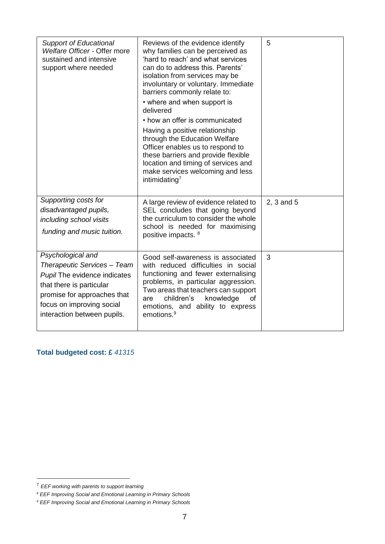| <b>Support of Educational</b><br>Welfare Officer - Offer more<br>sustained and intensive<br>support where needed                                                                                        | Reviews of the evidence identify<br>why families can be perceived as<br>'hard to reach' and what services<br>can do to address this. Parents'<br>isolation from services may be<br>involuntary or voluntary. Immediate<br>barriers commonly relate to:<br>• where and when support is<br>delivered<br>• how an offer is communicated<br>Having a positive relationship<br>through the Education Welfare<br>Officer enables us to respond to<br>these barriers and provide flexible<br>location and timing of services and<br>make services welcoming and less<br>intimidating <sup>7</sup> | 5          |
|---------------------------------------------------------------------------------------------------------------------------------------------------------------------------------------------------------|--------------------------------------------------------------------------------------------------------------------------------------------------------------------------------------------------------------------------------------------------------------------------------------------------------------------------------------------------------------------------------------------------------------------------------------------------------------------------------------------------------------------------------------------------------------------------------------------|------------|
| Supporting costs for<br>disadvantaged pupils,<br>including school visits<br>funding and music tuition.                                                                                                  | A large review of evidence related to<br>SEL concludes that going beyond<br>the curriculum to consider the whole<br>school is needed for maximising<br>positive impacts. <sup>8</sup>                                                                                                                                                                                                                                                                                                                                                                                                      | 2, 3 and 5 |
| Psychological and<br>Therapeutic Services - Team<br>Pupil The evidence indicates<br>that there is particular<br>promise for approaches that<br>focus on improving social<br>interaction between pupils. | Good self-awareness is associated<br>with reduced difficulties in social<br>functioning and fewer externalising<br>problems, in particular aggression.<br>Two areas that teachers can support<br>children's<br>knowledge<br>οf<br>are<br>emotions, and ability to express<br>emotions. <sup>9</sup>                                                                                                                                                                                                                                                                                        | 3          |

**Total budgeted cost: £** *41315*

-

<sup>7</sup> *EEF working with parents to support learning*

*<sup>8</sup> EEF Improving Social and Emotional Learning in Primary Schools*

*<sup>9</sup> EEF Improving Social and Emotional Learning in Primary Schools*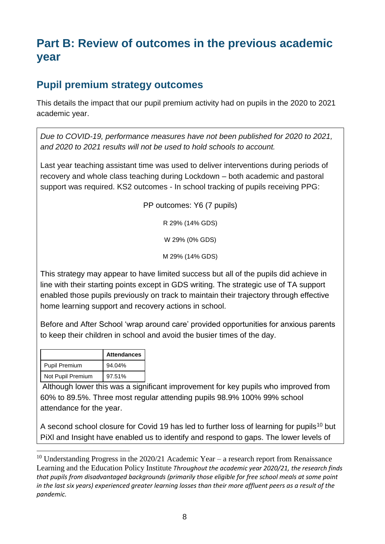## **Part B: Review of outcomes in the previous academic year**

### **Pupil premium strategy outcomes**

This details the impact that our pupil premium activity had on pupils in the 2020 to 2021 academic year.

*Due to COVID-19, performance measures have not been published for 2020 to 2021, and 2020 to 2021 results will not be used to hold schools to account.* 

Last year teaching assistant time was used to deliver interventions during periods of recovery and whole class teaching during Lockdown – both academic and pastoral support was required. KS2 outcomes - In school tracking of pupils receiving PPG:

PP outcomes: Y6 (7 pupils)

R 29% (14% GDS)

W 29% (0% GDS)

M 29% (14% GDS)

This strategy may appear to have limited success but all of the pupils did achieve in line with their starting points except in GDS writing. The strategic use of TA support enabled those pupils previously on track to maintain their trajectory through effective home learning support and recovery actions in school.

Before and After School 'wrap around care' provided opportunities for anxious parents to keep their children in school and avoid the busier times of the day.

|                   | <b>Attendances</b> |
|-------------------|--------------------|
| Pupil Premium     | 94.04%             |
| Not Pupil Premium | 97.51%             |

-

Although lower this was a significant improvement for key pupils who improved from 60% to 89.5%. Three most regular attending pupils 98.9% 100% 99% school attendance for the year.

A second school closure for Covid 19 has led to further loss of learning for pupils<sup>10</sup> but PiXl and Insight have enabled us to identify and respond to gaps. The lower levels of

<sup>&</sup>lt;sup>10</sup> Understanding Progress in the 2020/21 Academic Year – a research report from Renaissance Learning and the Education Policy Institute *Throughout the academic year 2020/21, the research finds that pupils from disadvantaged backgrounds (primarily those eligible for free school meals at some point* in the last six years) experienced greater learning losses than their more affluent peers as a result of the *pandemic.*